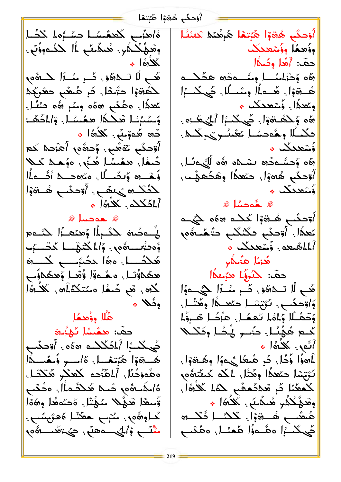أُوْحِكُم هُوْوْا هُبْتُمْا ةُ اهنَّبِ لَاهِمَّسُا حِسْبُها كَحُا أُوْحِكُم هُوَّوْا هُبَّتْهَا هُرِهُكُمْ كَنْتُنَا وقَدْفُكُكُر. هُنگُنَّع لَمَّا كَثَـْءوِوُّيْ. وؤهما وؤشعدك **محکوہ اسی** حقَّ: أَهُا وِئَيْدًا هُم لَا تَكْهُوْ. كُمْ مُسْأَلَكْ هُوم هُه وُحْبَامُـــا وِمُــــوْدُه هكَـــد هُــوْدٍّا. هُــواْ وِمُــاْل. كَهكْــرُا لِكَمُوْوَا حَتَّىدًا. كَرِ هُىعَى حَقْرَبُكُمْ وتعكان وُسْعِدِكْمَا \* كَعْكَالَ وَهُنَّى وَوَّةً وَمَّرٍ وَّهُ فَشَارً. وَْسَنُبُرُـٰـل قَـٰلَــٰهُل مَـقَـنِسُـل. وۡلِلۡـَٰهَـٰـٰٓٓٓٓٓٓ هَه وَ حَمْدُوْمٍ أَسْتَمِيكُمْ إِلَّا أَلَيْ هَذَهِ . دُه هُدْوُمَعٌ. لَلأُهُ ! \* دكْسُلًا وهُوصِسًا مُعْسُرِيْ كِلْمَةِ. أُوّحكُم عٌةهُم، وَحَدُّه، أَهْزَحِكَ كَعر  $\sim \text{X}$ كُنْغُلْ. هَمُّنْشَا هُنُّيْ. هُوُلْعَنْ كَتْلَا ، كَامِرُكَ أَهْ مَكْتَ مَتَحْدَثَهُمْ فَي وَّـقَـــه وَيَـثَـــلًا. وَعَمْدَهُ أَثَــدِمَلَّا أُوْحِكُم هُدَوْلَ. حَبْعَدًا وِهْخُعَهُمْ. لْمُثَلَّــْ مَسْمَــهِ ﴾ [وَحَمَــهِ هَـــرَةُ وَالْمَسْمَعَـــــرَةِ مِنْ مَــرَةَ وَالْمَــرَةَ م ۆشكىك ھ أَلْمَكْكُمْ بِكُلُاهُ \* 2 Lisan 2 أَوْحِكُم هُـ ثَوْمٍ الْكُلْمِ هَ مَنْ الْمَهْلِيمِ 2 Lusan 2 لُےحُمہٰ لِکَےلَّا وَمِنَعے َا لِکَےم كعدًا. أَوْحنَى حَكْتَكَى حَتَمَّــوَّهِ وَّەدْتُرْسَا تُوْمَى بِهِ كَالْكُتْنُوْسَا كَتْسَبُو ألملقُىعە. ۆَسْعدَكْ \* هَكْشَــا. ٥٥أَ حَضَّبُـــم كُـــة هُدْمًا هزُمكُم ههُدُوُّسًا. مصُّووًّا وُهْداً وَههُدَوُّب حقّ: حَبُوفُها هؤملهُ! لَاهْ. مْمِ ضُمُّا مِمْتَكُمْلُهِ. ݣْلْمُأَ هُبِ لَا تَــدْهُوْ. كُــرِ مُــٰأَا ۖ حَيُّــدوُا وَۗ)وَحَكَبٍ . تَوُيْسًا حَمْعَـدًا وِهَتَـا. وثْلاً ﴾ هُلَّا وِؤْهِمُا وَّدَهُـلًا وَءُهُمْ تَعِمُـلَ. هِزُهُـل هَـرِوَٰٓءُ كَــم هُهُنُـا. حنُــو هُـحُـا وكَتْــلا حق: همَّسُل تَهِنُّمَهُ كَهِكْسُرًا ٱلْمُكْلَدُه 50%. أَوْحَدُب أَنُوبِ لَلْكُلُّهُ \* لْمَوْا وَّحًا. ثَمِ هُبْعُا يُجوًا وِهُـ ثَوْوًا. هُـــقوْا هُبْتُمْــا. ةاســـو وُجمُـــدًا ەھُەزجُىُّا. ٱلمُّنَّدە ێٚعنْدِ مُنْذَمَّا. ئَوِّتِسْا حَمْعَدًا وِهَتَّا. لَمْكُمْ كَمِنْتُوْهِ ةُالْمَلْتِدُّهِ وَسَنَدَ هُلْكُتُمَاً أَ. وَخُنْبَ لْحَمَعُمُا ثَمِ شَدْخَمْفَى لِلْهُمُ لَلْاَهُ الْ وَّسِعْلِ مَدْيُلا سَّجُتْلَ. هُحِمُّعُط وِهُوْا وقْعَهُكُكُمْ هُنگُنَّى. ݣَلْاهُا \* هُعَيْبٍ هُــةَ أَ: لَكَــا قُكَــه تُداوِرُهُ). مُبْنِ حَكْثَا هُفْرُمْشَمْ. مەنچىسى ئەسلام بولغان بولگە كَهِكْسُرًا هِقُسْوَٰا هَٰعَسًا. هِقُدْس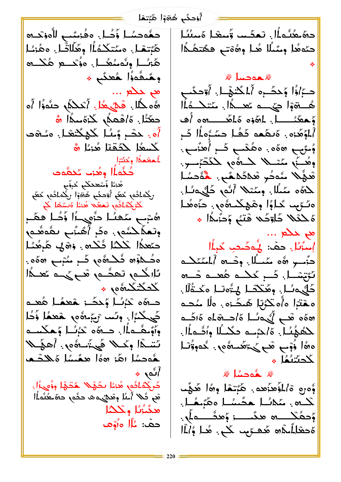أُوْحِكُم هُوْوْا هَبَّتْهَا

حفَّدمُــا وَّدُــا. وفُنِمَـــع الأُوزْنَـــده هَّتِسْلَ. مِمَّتكْمُلًا وِهَٰلِلْثَارِ. مِعْنُا هُزئُم ونُومُعُم من وُكُم هُكُم ه وِهُبِقُووُا هُعِنَى \*  $\ldots$  and  $\ldots$ رُهُ مِكْلًا . قَحْبُ هُلْ ، أَحْكَمُ حِنُوزًا أَه حعّتُا. هُ/ڤَعكُر كُنْهُسكُل <mark>ڤُ</mark> أُهِ . حثَّ وُسُلَّ كَمِكْتَعْبًا . وسُرْوَت كْسِعُل حْدَقْنَا مُرْءُلِ وَّ أعشمأا وكشرا دُخُه أُل وهُن، كَحقُوب هُنْنَا وُسْعَدِكُمْ كَبِوَٰٓمٍ رِيْداخُو كَمَّةٍ أَوْحَكَمٍ هُوْمَ أَرْكُماخُو كَمَّةٍ.<br>كَتْرَكْدُاخُو تَممَّلا هُرْءُ هَنَّسْهَا كَلَّ هُبْبٍ مَعْلًا حَزْمٍيماً وَّحْلِ فَعَمِ وتعكِّلمُنَه. ودُم أَهُنَّب تقُوهُم حَمْدُا كَلّْكُلّْ ذُكْرُهِ . وَهْلِي هَٰرِهُمْا ەكلەۋە ئىلىۋە كەبئېب ھۆە. تافست مےرے وگ مشہور کے ا للصَّنْتُمْعُدُومِ \* حدةه ثبُرُسًا وُحجَّة هَعهُا هُعته كَهِكُنُوْلَ. وِئَتَ رُجِّدِهُ مِنْ هُجَهَا وَكُل وِأَوْجُدْهِ أَلْ. حــ50 لْكَرْسُـلْ وَجَعَلْمَسَـد كَسْمُا وِكْمِلًا فَيْ تُنْسِقُونَ ، أَهْلَمْنَا هُوصِمُلِ رَهُ: «هُلْ هِمُسُمْلِ هَهْدَهَ أسُّهِ \* دَرِكْمُلأُمِي هُزْئِل بِكَهْلا هُدَهْلِ وِؤُولِ أَل هُمْ فَلا أَمنُا وِهْمُهُمْ مِنْهُمْ وَهُمْ أَمْلاً مِنْهُ مِنْهُمْ وَهُمْ هدٌُرُبُل و تَكْشَلُ حفَّ: ١ُأَ وأَوْهَ

دەَ ھُنُداْلِ. ئىكْسە ۋىيغْل ەينى*نْل*ا حَمْعُدا وِمُمُلَّا هُـا وِهُوْتِي هِعَْتُمُـدًّا R Luscal حـَمُوُواْ وَححَــرِه ٱلْمُكْتَهْــا. أَوْحَكَــح هُـــةَوْا دَيْــــهُ مُعْـــدًا. مَتنكـــهُلًا اْلْمُوَهُدِهِ . هُنصُعُو كَفُلْ حَسَّرُهِ لَٰلاَ كَ ۇمۇم «ەە. ەھگىم كَــْمْ اُھنُىــى. وِهُــَنَى مَـُــاً لــــوَّى لَكَتَـٰزِـــــرِ. هَيْمًا شَهِدُرٍ هَدَكَدَهُرٍ. هُهُدَسًا لِحْتَهُمْ مَمْلًا. وِمَتْنَكُمْ أَنَّهُمْ خَايُجْتُلْ. ەئەّب ئىلۇل وشىمكىشەر. دەھل هَ لِكَمْلا كَاوْكُدْ قْتُبُ وُحَزُمْاً ﴾ مم ملم ...<br>إسْتَمَا الْحَقّة الْمُحَمَّدِ كَبِمَا دَّىب ۞ مَمْسُلًا. وِتَىه ٱلْمُمَكِنَة ئۇتشا. ئېرىمكىم ئەدىم كُلُّحِمُا. وِهَٰنَكْمًا لِمُتَوَسَّا مِكْتُوْلَا. ممترا هأه تلابُل هُيضُزِه . هلّا سُحـه ھکاہ قب ایک اسلام کے اس کام کام لِحْقُوْنُـاً. ةَ/جَ مِـد حكْنُـال وِٱخْـدِلَٰا. ەھُا ۆُوْب ھُم کِ تَعْمَدِہُ مِنْ مِنْ قَامِوَتُوْلَىل لادتئنكا \* A Lisai A وَّەرە ةالمُؤْهدُهم. هُبُتقا وَهُ اهْدِّبَ تْكْتُو. مَكْتُبْلُ هَجَّىسُلْ وَهُرَهُـلْ. وَحِكْكَــــــ ۞ مَدَّــــــــــــ وَمدَّـــــــــــه لَم ب هُحقْلِلُمْهِ هُدَىِّ لَا . هُا وُٱلْمَا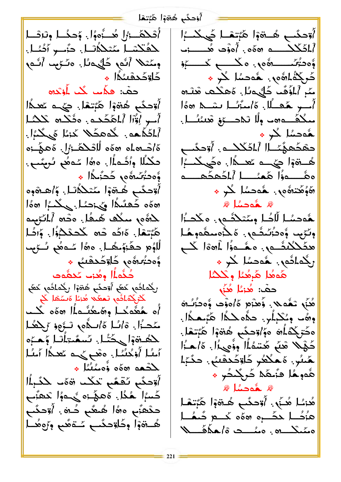أُوْحِكُم هُوْوُا هَبُتِمْا

أُكَكَّتُ زُلِّ هُـــزُّووُل. وَحكُــا وِتَرَكَــا ﻼﻣُﻼﺷـﺎ ﻣَﺘﻼÑﺷـﺎ. ﺣَﻨ**َ—**ﻮ ﺃﺣُﻨـﺎ. وعَنَّلا أَنَّه مِنْ كَايَاتِ وَنُكَّلِ أَنَّ مِنْكُمْ مِنْ أَنَّسَمْ وَاسْتَلَامِ كَل**ق**ْحَدْقْسُدُا ﴾ حق: فَهَمْسَ لَمْكَ لَمُؤْتَدَه أَوْحِكُم هُوْوْا هُبْتُمْاً. حَيْءَ عَظِمَا أُسِرٍ إِوَّْالَ أَلْمَكَّكُمْ ، وَثَكْلُهِ كَلِكْمَا أَلْمَكْمِهِ. ݣُدْهَكْلا تْمَنْظْ وَيَكْتُبُلْ. ەُ/شەماە ھەّە لُاتىلگىزۇل. ەھھّىزە دكْتُلَا وأَثَّـٰه عَلَا. وهُ السَّـٰوهُم نُرمِنَىــم. وُّەئىُرَىشُەم كَجَنُّىدًا \* أَوْحِكُبِ هُـ ثَوْمٍ | مَتَكَلَّانًا . وَأَهِـ ثَوْمٍ ه اَهُمَ الْمَكْرِرِ. لَمُنْ الْمُنْعَمِّ هَهُمْ لِمَوْمٍ سَلَافٌ هُنفًا. وَدُّهُ ٱلْمُرَّضِمُ هَّئِتِهَا. هَاضُمْ دُهِ كَحِكْكُرُواْ. وَاصُلُّ لْلَهُم حَفَزَهُنَّفْ). 30% عُـ20\$ نُــرَّب وُەدىُرەُە كاۋكىقىىگ م كُنُماُ وهُنِ كُنفُوت رِكْمادُهِ كَعَمْ أَوْحَكَمٍ هُوْءًا رِكْمادُهِ كَعَمْ كَتْرَكْمُلِقُمْ تَمَعُلُهُ مُرْثِلُ وَسَيْعَلَ كَلّ أَه هُعُدُكُمْ وِهَٰىغُشُدَاْ آههَ كُنْت مّحدُّا. ةائـا ةاسلُّام تـرَّوو رُكعُـا لِكُمْ تَوْمٍّلْ حَيْشًا . تَسْمَّتِ أَنْتُلُّمَ وَجَمَّدٍ أَمِنًا أَمْكُنًا. هِ مَع إِنَّ مَعْدًا أَمِنًا للثَّعه 200 ؤْەمْلُدُا ۞ أَوْحِكُم نُقْعُم تَكْبُ رَهُمَا لِكُبِلَٰا حُسْرًا هُدًا. هُعِيٍّ زه يُحِمُّ تَعْقَبَ حكَمْنَى وَهَ الْمُعَيْنِ حُـْهَ ﴾ أَوْحَكَب هُــةوْا وِحَاوْحِكَـــو عُــةهُــو وِرُوهُـــا

أَوْحِكُبِ هُــقَوْا هَٰٓتِنَهْـا كَٰيِكْنَــرُا ٱلْمَكَّلَـــــه «هَ». أُهوُّد هُــــــزما  $\delta$ وُەدْتُرُسْتَ ئەھرى مەڭگىسى كېسىدۇ صَحِكْمُلَاهُمِ. هُءَدِسُل لَكُو \* مَّىْرِ ٱلْمُؤَهَّى كَايُّدَىُّلْ. ەُھڭى ھَتَىھ أمسو هَفساً. هُامِنٌوْسًا بِشَبْهِ هِهُا مىڭگىسەھە ولَا تكاتىسۇق شىنى*تُىــا*. هُەدىئا كُر ﴾ حڤڬڡؽٞ*ٮٞ*ٵ*ٵ*ڵػڬۮۦ؉ٞۊحۮؙ؎ ابْكُرِ وَمِنْ الْمُسْمَدُ مِنْ وَاءَةَ فَيَ وهُــــوزُا هُمْــــا أَلمَٰهمَهــــو %ُوَهَٰتَهُ، وَ مُعْجَمَعُ لَكُو ﴾ A Lisaie A هُوصُلِ لَاصُلِ وِمُتَكَشُوبٍ. وكَحَـٰزًا وِتَّىِّ وُەدْتَىشُّەر. ەَلْأەسقُەوھَا هكَكْكُنُّــه. وهُــوزًا لِمُ169 كَــع رِيْدائُم، حُمْصِمًا لَحْرٍ ﴾ هُوهُا هُرِهُمُا وِكْلِمَا حقَّ: هُزْمًا هُنَّى هُنَّى شَقْصِلا. وَهٰذَاهِ 16وْقَ وَاحِدُكُ، وهُب وِيُكْبِلُو. حَذْهِكْدًا هُبُعْدًا. ەكْتِكْمْلُغ ەۆُ/توڭى ھُقْوْا ھَبَّتْھَا. دَّهْلًا هْنُمْ هُسْمُلًا وفُوحاً. هَ/هـزًا هَْسُرٍ. هَ مَكْفُرٍ دَٰاوْدَحْقَسُ . حَدَّبُهُ هُومِمُا فَبُـهُمْ خُرِبُكْتُو \* 2 Lisan 2 هُننُا هُنِّي. أَوْحِكُبِ هُـوْوْا هَٰٓيَتْهَـا هُزُهُــا حَجَّـــره «هُو كَـــع هُــهُــا ەمئىك مە. ەمئىست ۋاھلاھْك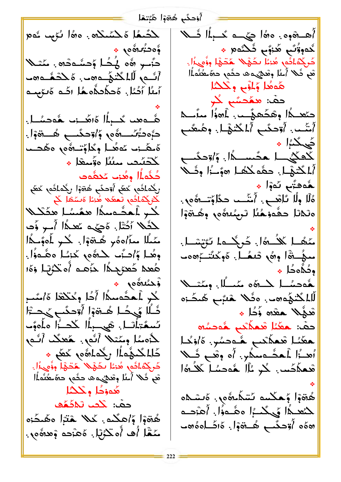أُوْحِكُم هُوْوْا هُبُتْهَا أهـــةوه وهوا جيء مُــــواً فـــلا لْحَمْعُلْ هَكْسُلُاه. هَاهُ الرَّبِ هُ لُدووُ*نَّ*ى هُزوُّى فُكْدُه \* ∲ ^ေကိုပုံသမ်း دُرِجَدُائُمِ، هُزْيَا بِكُوْبِهِ هُدَوْا وَوُّى أَنْ حَنُــرِ ۞ُه هُكُم أَحِشُــهِ=2ُــه . مَـُـَــلا أَنُــم لَّالمُكْتُنُمْــه¤ف. هُلاَتْـفُــه¤ف أَمِلًا أَثْنًا. هُجَدًّادَهُمْ اللَّهِ هَٰلِكُمْ مَنْ الْمَجْمَعِينَ هُـــوهما كُـــرِمُّا وَاهُـــزما هُـوحمُـــاً. دَوْدَتُهُـــوَّةُ وَاوْحِكُـــــو هُـــوَّةٍ لِ ەْݣْز، ئەھْل بِكْلُوتشۇە، ەھْھى لْكَتْشْعَبْ مِثْلًا وَوَّْمِيْݣَا ﴾ كُثُماُ! وهُزم مُدهُّدت رِيُّدادُهِ كَعَمْ أَوْحَدٌ هُوْءًا رِيُّدادُهِ كَعَمْ كَتْرَكْمُلْقُو، تُمعَكِه مُّبْتُلْ وَسُبْعَلِ كَحَ كْبِر لْمَحْــٰهِـبْدَا هِمُّسُـل هِكَـُـْـلا لْحَثَلا أَثْتَا. هُچَيد عَعْدًا أُسو ؤُت مَّىْلًا مِمَّاْەەُر ھُـْقَوْلَ. ݣُـْر لَمَوْمَكُل وِهُـا وُاصُّفْ كُـرْهُ مِه كَـزْـُـا وَهُـووَٰا. هُعد حُعرٌجِدًا حَزَمِ أُوتَكْرُبًا وَوَا وْحْسُرْهُ) \*<br>كَبِرِ لْمَحْدَمِيكُا أَجُا مِحْكَمْطَ هَامَيْتِ ثَـلًا يَحِكُـل هُـةَوْلِ أَوْحَكُــحِكُمْ لَكُـــتْرَا سْمُبْلُالٍ. هَيْ إِلَٰمٍ كَلَّالٍ وَلَمْوَهُ لأومدُا ومَنْتَلا أَنَّوى. هَعْكُم أَنَّمى خَالِمُكُمُوا وَهُدَاهُمْ لَكُمْ \* دَرِكَهُ لَائُمِ، هُزْئا، نَكُوْلاً هَدَّوْاً وَوُّى أَلْ شَمْ فَلا أَسْلَا وِشَمْ هَدَهُ هُمْ أَسْلاً مَنْ مَثْقَاهِ الْمَدَّامِينَ هُدوْجًا وتَكْمَا حقّ: لَكْمَا لْلأَهُفَا هُوْمٍ إِلاَّ مِكْتَ بِهِ كَلا حَقَرًا مَعْتَدَه مَنْقُلُ أُف أُه نَكْرُبُلُ. هُعْزَهو وْهِدْفُورٍ.

هُمْ ثَلا أَسُلَ وَهُلاَيهِ هِ حثَمٍ حَمَّدَ لَهُ أَسْلَمَ هُوهُا وُلمْو وِكْكُمْ حق: هَمُحِسَّمٍ كُرِ حَمْدَهُا وَهَدَّهِمَّـبٍ. أَهوُا سِنَّتَ أَشَّب. أَوْحكُبِ أَءلَكْتَهْل. ومُشَب ځي گئې! \* كْفْكِيْ الْمُحْسَنْدُا. وَاوْفْتُنْتَجْ أَلْمَكْتَهْلَ. حَقَّدَكْهُا هُوَّسُرًا وِثَّىلا هُهِمَّى لَهُوَا \* ەُلَّا وِلًا ئَاھَبِ. أَنتُــب حَذَّاوِّتــوْهِ بِ. وثلاثا حفَوفهُنُا تَرِيمُنهُومِ وِهُـقَوْبَا مَعْصَلِ كَلَا هَٰلَ. كَرِجْكُ عَلِمَ تَوُتِهْسَلَ. مەي قاربۇي ئىگل ئوڭشىزەەت وتُكْمَعْطْ \* هُوصِيُا لِمَدِهُو مُبَسِّلًا. وِمَيْسَلا لَّالِمُكْتَمُوهو. وَثَلا هَبَّب هَدَّاه هَيْمًا حصْرَه وَٰدًا ﴾ حق: هَعْمًا شَهَلَائِبِ هُوصُنُهِ حكّْمُا شَعَكْتَبِ خُـُدْمَسْرٍ. هُ/وْكُـا أهبُوا أَحدُّدمعكُمْ ِ. أَه وقْبِ فُبِيلا تَعمَلَاحُسبِ. كُرِ عُلَّا هُـ٥حِسًا كَلَائُهَا ھُۋْمُ إِمْ هَكْسُمْ تَسْكُمِرُهُ مِنْ وَسْمَدُه لضحَمَّا فَيَكْبُّهِ! وَهُدَوْلَ أَمْتَحَتَّ ەەَە أَوْحَكُب ھُــْقَوْلُ. ەَآكَــاەەُھ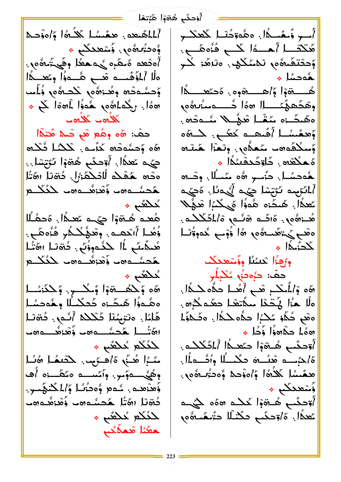أُوْحِكُم هُوْوْا هَبَّتْهَا أُسِير وُّىعُمْــدًا. وهُوَوَّتْـَا كَعَنْـْسِي أَلْمَلْكُمِيْدِ مِنْ هُمُسُلْ لَلْأَيْرَةُ لَيْ وَأَوْقِيْدِ هُتَكْتَــا أَحْــهُا كُبِ قُنُوهُبِ. وَّەدْرُىرەُە ) . ۆشقىدىكى ، وُحثتفَىهُ٥ للمَكْلَى وَلَاهُ: كُـر هُەدىئا ھ هُـــــةوْا وَاهــــــةوه . هَدَهـــــــهُا وهَدُهُمُّسُـــاا هەُا شَــــــــــمنُرهُوم ەھْىكْزە مَنْقْرا شْرُبْىلا شْتەدە . وَهِمُسُا أَقَسِهِ كَعَبٍ. كَنْ هُ وَسَلَكُمُوهَا سُمَعَهُورٍ. وِلَمَرَّا الْمَسْلَمُ ەْھَكْتُرە . خَارْخُدْقْسُدًا ﴾ هُوصِيًا. حَزْبٍ وَهُو مَيْسًال. وِحْدِهِ صرحة بالمصرأ صرح الشتث صوحتها عَعِدًا. هَدَدَه هُمزًا هَيكُمُ! هَدَّمُ ئىلگىي ، هُـ;هُ٥، ذَاكُـه ۞شُـه ۞لمكَّلَـك. ەقىم كېتقىسقەم ھا ؤْوْسى گەوۋنسا لكحزَّمكُ \* وَوَجَدًا تَعْسُلُ وَوَّسْعَدِكُتْ ئىلگىي ھ حقَّ: حَزَّەدْبُہ غُكْرِلُمْ ہُہ وۡاٰ مَٰکَـٰٓ مَبِی اۡھُـٰـا حَدُّہ کَـٰدًا . هلًا هُزَا بُخْدًا مِمَّتِعْدا حَقَّدِكْرُهِ. ەھَم حُكُو مُحْبًا حِكْمَحْكَا. وَحُكُوْمًا read choil ich أَوْحِكُبِ هُـ ثَوْرًا حَمْعِـدًا ٱلْمَكْلَـدِ . لمنُكُم مُلْعَبٍ ﴾ هُ/حَبَـــه هَنُـــه مكْـــلًا وِأَشْــهلًا. همَسُل كَلاَهُ الْإِمْ وَوَحِكَ وَوَحِبُّ وَمِنْ وَمِنْهُ وَبِي أؤشعدكم \* دُقْتَا اهَٰتُا هُڪِسُهِ هَد وُهُدْهُده أَوْحِكُبِ هُـ ثَوْمٌ | كَحْدِهِ مِهْمٍ لَجْهَدِهِ كعدًا. هُ/وَحكَبِ حكْتُلًا حَتَّىمُّى هُو لمنُكُم مُلْعَبٍ \* هعَمَّا شَعَکَمَّب

برەۋىشىرۇم لمحمصرۇ ەبصە ھەتەە ءلًا ٱلمُؤَهَّىـــه هَــــهِ هُـــهوُّا وِحْمَـــٰهُا وَحِسَّـٰءَتَـٰه وِهُـٰۃِهُۖ ﴾ لَـُحـُدُّهِ وُلَم اللّٰہ اهِ مِنَّكُمْلِمُوْمٍ هُوَٰوَا لَمُوهَا كُلِّ \* كلاؤه ستلكحه حقًّا: 6ه وهُم شَى شَيْءٌ هُتِيْءٌ ا هُه وُحِشُوجُه كُلُوبٍ. ݣَكْلُو فَكُلُو حيِّـم عَعدًا . أَوْحكُم هُوْوْا تَوُتِسْا . . هِ دَو هَـفَـكَ لُاتَـكَـمَٰـزُولِ. دُوّةَ لَا رَوْمَنُـلَّا رَوْمَنُـلَّا هُدسُدەە ۈُشْرْشُدەە لْمُكْلُد هُمده هُـ وَهُوَا حِيْحِهِ مُعَـدًا. هَدهُـلًا ؤُهُــا أَابْعَـــه . وِثَعَهْـُـُـكُم وُخْوَهَــع . هُدكُنِّي لَمَا حَكْتُووُنِّي. دُقَانَا اهَتْنَا ھُڪسُدەت ۆُھْزەُڪەھە كْكُكْس هُه وَحَقُدُوا وُحُكِ وِ. وَحَكَّنُا ەھْـەۈُا ھَىھُـزە ھُـْكَـىـلَّا وِـھُـُەھىئــا كَامُا. وتَوَمِّنْا كَـْكَـٰكُمْ أَنُـْمٍ. دُةَنْـا الأَتُّـــــــا هُجِيئٌــــوهب وَهُزَهُــــوهب مَدْ إِلَّا هُنَّى هَ/قَبِّصٍ مِنْكُلُّهُمْ الْهُنُمْ وهُيُّ مؤمو. وأُمُّست همَّصَّـــزه أُه وَّهْزَهِدِ ۚ. شُومٍ وَوَدَٰرُنَا وَٱلْمَكْتَنَهُمِ ۖ.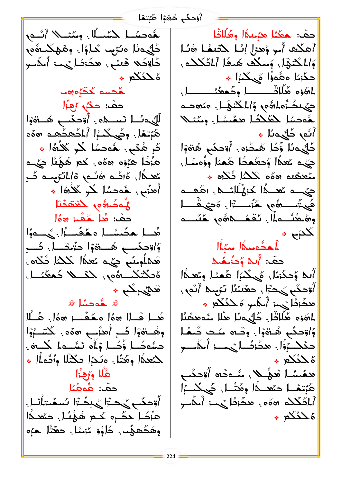أوحكَم هُوٓوٖا هُبُتمَا

هُوصُا لِمُسْلًا. ومُصْلًا أَنُسِي كَلَّكْ مَتَّى مَّاوُلْ. وِهْكْمَنْدُوُهِ كَاوْكُدْ قْسُى. هكَرْدُا رَجِيرَ أَيْكُمْسِ ەللىگە ، Lois Lägors حقَّ: حَدٌمٍ رَّهِ ۢا لَّايُهسُــا تَـســـــاه . أَوْحـكُـــــع هُــــوْهُوا هُرْتِهْلِ. وجَهِيكُمْ الْمُخْصَصَصَفَ 30\$ه دًا هُنْسَى. ۖ هُءَدسُل لَكُن لَكُلُهُ أَ \* هَزُهُا هِبَوْهِ 50هِ . كُم هُهُنُا جَيْء عْجَدْاً. وَادَّے ھُنَّے وَالْمَرْجِعِے کَے أُهنَّى ـ هُـُدَسُل لَكُو لَلْأَهُ السَّنَاءِ لُهضَةُه لِكَتْقَضَّلَ حقَّ: هُلْ هُقُدْ 30) هُــــا هَـمُـــُــا هُـهُـمُــأل هُـــــومُ وَأَوْحَكُبَ هُدَةًوْا حَتَّمْهَا. كُبِّ هْدَأُوسٌ جيٍّ عَمدًا كَلِّدًا قُلْاهِ . ەَدَكْتْݣْلْمْ دُەُور. لْمْشْمْلْا خْمْعَنْمْلْ. ئىدىم كىسى. م هُدمسا ه هُــا قَــالَ هَـهُ مَــقَّــــز ههُ لَــهُ لَــلَّلَا وِهُــةَوْا كَــرِ أُهِنَّبِ هِهُهِ. كَتَسَـرُوْا حسُّمحُــا وَّحُــا وَلَمَّ تسُــما كُـــة. لمُعدَّا وِمَّتُا. وَكَبُرا مِكْتُلا وِٱثْمَاْلِ \* هُلُّا وَرَّهِۥؘٛٳ حقَٰ: هُوهُمُا أَوْحِكُمِ يُحْمِرُ ابْتُحْرِجُ مِحْكَبَرُ ابْتُحْرِجَ مِحْكَمَةٍ أَ هَزُمًا حصَّرِه كَــم هُهُنُـا. حَمْدَهُا وِهْكُعِيْفٍ. خُلوُوْ عُنْظًا. حَعَيْنًا جَرَّه

حفَّ: هعَمُا هرُملاً وهَٰلَمَاتُوا أَهكُنَّ أَسٍ وَهَوَا إِنَّا كَتَنفُنَا هُنَا. وَ/الْكَتْهَا. وَسِكُفْ هُيفًا أَالْكَكْتْ، حَذَبُنَا مِقْمَوْا مِّكْبُرَا \* صهره بالمؤتكران وهذاه أعليه هُوصِمًا لِمَعْلَاهُا مِعَسُلٍ وِمُتَلَا أَنَّهِ كَاصِرَكَ مِصَاً كَايُحطُ ۖ وَكُلَّ هُمكُونَ ﴾ أَوْحَكُم ۖ هُوَوْا دَيْء مُعدًا وَحعَمدًا هَمنْاً وِؤُوسُاً. مُعصَّده مَهُ مَكْثَلاً دُلُه \* صےه : A الْمُ تَمْ لَمْ كُمْ صَرْحَة لمستُمَسَّنَ فَيَسْتَنْبُهُمْ مِنْ هُسْتَنَزَلَتْ وهَ حَدُّـــه أَلْ. تُـقَـمُــــدةُ مِ مَنْســه كلابع \* ألْمِدُه الْمُحَمَّدُ حقَّ: أَبِي وَجَنْبَهُيمَ أَسِمْ وَحِكْنِيْلِ. هَيْكُيْرِا هَمْسُلْ وِعْجَدْاً أَوْحِكُمٍ يُحِبَّلْ. حِعْنَنُا نَّوَجِعَ أَنَّهُمْ أَشْيَاءِ. ه هَكْنْكُمْ لِّكْسِ هَ حَكْكُمْ \* لمُغْوَّم هَكَلاَتْلَ. كَايُحِكْلْ هِنَّلْا مُتَّمِعْعُمُلْ وَأَوْحِكُمْ هُـ ثَوْوَا. وِحْـ 10 مُـْحَدِّ كَــِمُـا حَكَكُرُواْ. هَدَّرْتُكُمْ يَجِبْ أَيْكُسِبْر ة حَكْكُم \* همُسُل هُؤُسِلًا . منْـودُه أَوْحكُب هُبْتُمْهِ حَمْدِيمًا وِهَنْهَا. حَيْكُمْ أَ أَلْمَكْلُمْ 200 مِ مَحْزَمُ آيَى أَمَلَابِ ة لمنُكْع \*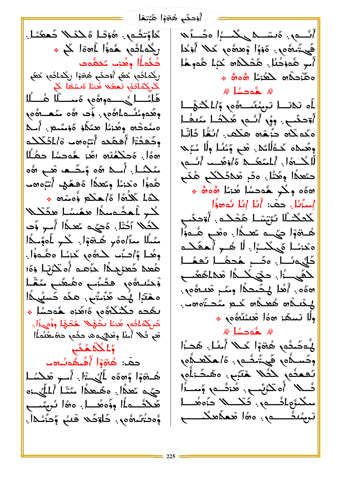أُوْحِكُم هُوْوْا هَٰٓئِتُمَّا

كَلاَوْتَشُم، وُوْتَىل مَكْتَكَلًا كُمْعَكْمَا. رِيْدَادُو هُوزًا الْعَمَّانِ ﴾ كُنُّه لَٰلَ وِهُنِي كُفْوَف رِكْمادُو لِمَعْلِمِ الْإِصْفَى هُوَا رِكْمادُو لَمِنْ لَمِنْهِمْ لَمِنْهِمْ لَمَنْهِمْ لَمَنْهِمْ ل كَرِكْمُاتَمْ ثَمِعُهِ مُنْ أَسْتَقَا كَلْ لِلْــــاهُ الْـــــــــەم مِرەڤُوم ـــــــــاللہ عَـــــــاللہ وِهُدونُكُـداهُورِ. وَُد هُو مُحَـدةُور ەمئەتتە وھُزىُل ھىڭدۇ كۆمئىص. آسك وِحۡعَدُٰٓۃٗا اُهمَٰدہ اُتّۂٖہ۞۔ ۃُالمَک٘لا۔ هەُل. ەَحكْمُلْه (هُز هُوحسُل حصُلْل مَكْمَا. أَسْلَا 6ه وُحَسَّم هُم 6ُه هُووُّا ويُدْيَا وِيُعِدُا وُعِمَّلٍ أَنْتَوَهُمْ لِهَا لَلْكُلُّهُ أَنْ هَلُكُمْ وُوسْهُ \* كْبِر لْمَشْدَسْدًا هِمَّسْا هِكَنْكَ لِحُثَلا ٱثْتَا. هَيْء مُعِدًّا أَسو ؤُت مَّىْلًا مِمَّاْەەُدٍ ھُـْقَوْلَ. كُـْدِ لَمَوْمَـٰدًا وِهُما وَٱحنُّم كُنُّهُ لَا وَهُمْ وَمُحَدَّرُ. هُعدا حُعرَجِـدًا حَزَمـه أُه خَرُبَـا وَهَ! أَحْسُدُهِ وَدُنَّى وَهُمَّى مَقْل هَ تَمْ إِلَى اللَّهُ مِنْ مَنْ أَبَّنَهُ مِنْ الْمَسْتَمَرَّمَ ىئەدە دڭتىگەۋە ۋاھزە ھەدسا ھ دَرِكَهُ لَائِمٍ هُزْءُ الْكُوْلا هَدَوْا وَوُولاً. هُمْ ثَلا أَسُل ومُحْرِّدِهِ حَثَمٍ حَمَّدَهُمْ لَهُ أَسْتَمَاءُ وَالْخَفْعُنَى حفَ: هُوْوَا أُقُبِقُوبُهِ -هُـةَوْا وُههُه لِمَالِكِـتَا. أُسو هَكْسُـا صَحِبُ عَمَدُاً. وهُمعدُاً مَتَنَا أَمْلَاً مِنَّة هَٰٓڵڎٞ؎ڵؙٳ؋ۏؙڡڠؙٮڸ؞ڡۿٳٮؙؿؚؠٞٮؠ و۪۫٥دؾۢٮٞٮۉ۫ٯڔۦۦڝٚٳۊڝؙۮۅ۩ۼۄٷڔ

الله أحسكم محسسة ومعسأا كَيْ تُنْ مِثْقَامٍ . وَوْدُ أَوْ مَعْدَّةً مِهِ كَمَلاً أَوْ كُمَا أَسِ هُوَدُمَا. هُدْكُلُه كَبَا هُومِهَا ٥ڴڗحدٛ٥ ٨ مئزئا ٢٥٥ A Lioci A لَمَا تَكْلَسُ أَمَنْ مَنْ مَنْ الْمُسْتَدَّوْ ﴾ أَوْحِكُبٍ . وِيُ أَنَّـهِ هَٰلأَـٰـا مَّنفُـا ەكدىكە جَنْسُو ھَكْفٍ. انْتُمَا دَاتْل وِهُـٰـدُه كَـٰهُڵٗائكا. هَـٰ وَّـُـُـٰلَ وِلًّا ـُـٰٓـٰۭٓكِـلا لَّاحُدهُ لِيَ أَعْلَمْهُمْ وَأَوْهُدِ أَنْسُمْ لَلْهِ مِنْ حنَّعدُا وِمَنْا. ودُ مَدْكَـلْكُم هُدْمِ ٥٥٥ ولُم هُ٥٥ مُدْمَا مُنْ ٥٥ وَ إِسْتَابُ حقَّ: أَبْلَ إِبْلَ ثَوْرَةُ إِ كْحَكْتْلَا تَوْتِسْا هُحْكُم. أَوْحِكْب هُــةوْا كَـــه عَعــدًا. وقب هُــووّا وتحزئبا فَيكْسُرُا. لَا هُبِ أَحْفَلْتُ كَلُّدْسًا. وَكُلِّ هُجِعًا نَعْهُا لمَفَىٰ أَمْ كُرْقَ أَمْ الْمَعْلَمُ الْمَعْلَمُونَ مِنْ الْمَسْرَحَةِ مِنْ الْمَسْرَةِ مِنْ الْمَسْر 500 مِنْدَا لِمُصَدِّدًا مِنْدِ شَدِّةُهِ. محتمده هُمحده مُدم مُعَدُّوه. وِلَّا تَسَعَّرَ 50\$ هُنْتُدُوْهِ \* 2 Lisan 2 لِمُعَصِّفَهِ هُوْءٍا حُمْلاً أَسُلَ. هُصَرَٰا وەقمىگىماة . ومەشىۋە بەقمىسە مَعْدُمْ وَبَنْدَ الْمُتَبَىٰ. وَهُدَّنْهُمْ ئَــــلا أَه لْكُرُبُــــمِ. هُـٰزَئَـــمِ وَمــــرًا مىڭدۇەلمۇسىمى. كېيىلا دەھلىل